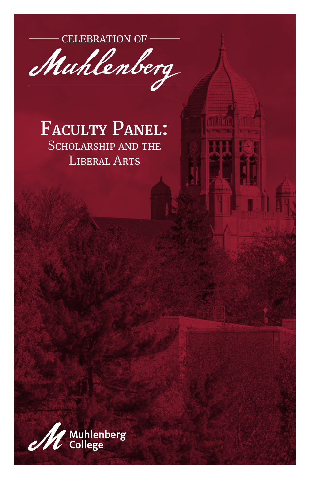**CELEBRATION OF -**



#### **FACULTY PANEL: SCHOLARSHIP AND THE LIBERAL ARTS**

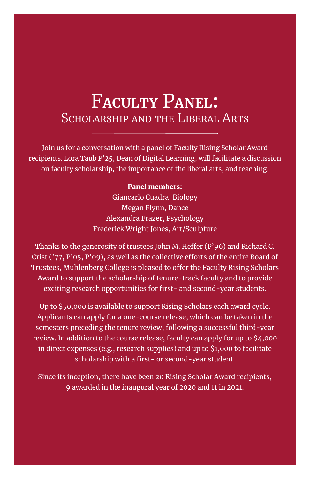#### F**aculty** P**anel:** SCHOLARSHIP AND THE LIBERAL ARTS

Join us for a conversation with a panel of Faculty Rising Scholar Award recipients. Lora Taub P'25, Dean of Digital Learning, will facilitate a discussion on faculty scholarship, the importance of the liberal arts, and teaching.

#### Panel members:

Giancarlo Cuadra, Biology Megan Flynn, Dance Alexandra Frazer, Psychology Frederick Wright Jones, Art/Sculpture

Thanks to the generosity of trustees John M. Heffer (P'96) and Richard C. Crist ( $'77$ , P'05, P'09), as well as the collective efforts of the entire Board of Trustees, Muhlenberg College is pleased to offer the Faculty Rising Scholars Award to support the scholarship of tenure-track faculty and to provide exciting research opportunities for first- and second-year students.

Up to \$50,000 is available to support Rising Scholars each award cycle. Applicants can apply for a one-course release, which can be taken in the semesters preceding the tenure review, following a successful third-year review. In addition to the course release, faculty can apply for up to \$4,000 in direct expenses (e.g., research supplies) and up to \$1,000 to facilitate scholarship with a first- or second-year student.

Since its inception, there have been 20 Rising Scholar Award recipients, 9 awarded in the inaugural year of 2020 and 11 in 2021.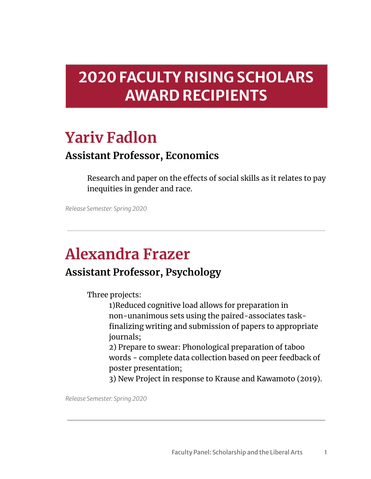### **2020 FACULTY RISING SCHOLARS AWARD RECIPIENTS**

### **Yariv Fadlon**

#### **Assistant Professor, Economics**

Research and paper on the effects of social skills as it relates to pay inequities in gender and race.

*Release Semester: Spring 2020*

# **Alexandra Frazer**

#### **Assistant Professor, Psychology**

Three projects:

1)Reduced cognitive load allows for preparation in non-unanimous sets using the paired-associates taskfinalizing writing and submission of papers to appropriate journals;

2) Prepare to swear: Phonological preparation of taboo words - complete data collection based on peer feedback of poster presentation;

3) New Project in response to Krause and Kawamoto (2019).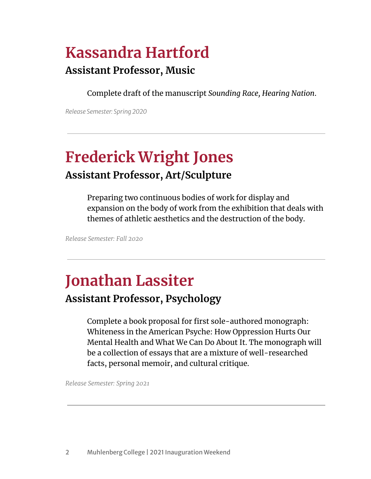# **Kassandra Hartford**

#### **Assistant Professor, Music**

Complete draft of the manuscript *Sounding Race, Hearing Nation*.

*Release Semester: Spring 2020*

# **Frederick Wright Jones**

#### **Assistant Professor, Art/Sculpture**

Preparing two continuous bodies of work for display and expansion on the body of work from the exhibition that deals with themes of athletic aesthetics and the destruction of the body.

*Release Semester: Fall 2020*

### **Jonathan Lassiter**

#### **Assistant Professor, Psychology**

Complete a book proposal for first sole-authored monograph: Whiteness in the American Psyche: How Oppression Hurts Our Mental Health and What We Can Do About It. The monograph will be a collection of essays that are a mixture of well-researched facts, personal memoir, and cultural critique.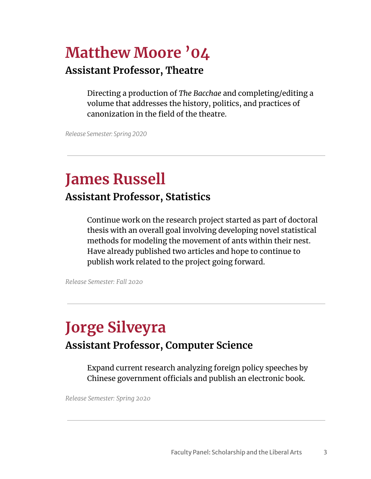## **Matthew Moore '04**

#### **Assistant Professor, Theatre**

Directing a production of *The Bacchae* and completing/editing a volume that addresses the history, politics, and practices of canonization in the field of the theatre.

*Release Semester: Spring 2020*

#### **James Russell Assistant Professor, Statistics**

Continue work on the research project started as part of doctoral thesis with an overall goal involving developing novel statistical methods for modeling the movement of ants within their nest. Have already published two articles and hope to continue to publish work related to the project going forward.

*Release Semester: Fall 2020*

### **Jorge Silveyra Assistant Professor, Computer Science**

Expand current research analyzing foreign policy speeches by Chinese government officials and publish an electronic book.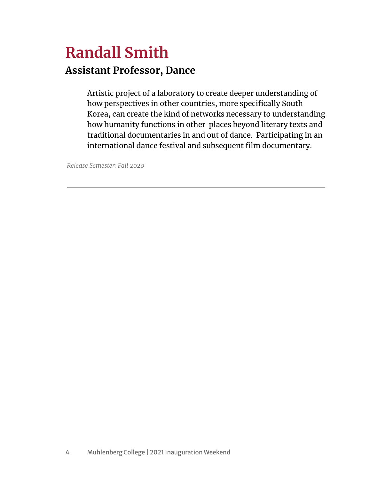### **Randall Smith Assistant Professor, Dance**

Artistic project of a laboratory to create deeper understanding of how perspectives in other countries, more specifically South Korea, can create the kind of networks necessary to understanding how humanity functions in other places beyond literary texts and traditional documentaries in and out of dance. Participating in an international dance festival and subsequent film documentary.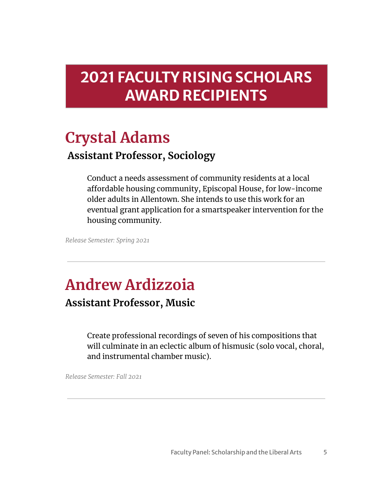### **2021 FACULTY RISING SCHOLARS AWARD RECIPIENTS**

#### **Crystal Adams Assistant Professor, Sociology**

Conduct a needs assessment of community residents at a local affordable housing community, Episcopal House, for low-income older adults in Allentown. She intends to use this work for an eventual grant application for a smartspeaker intervention for the housing community.

Release Semester: Spring 2021

## **Andrew Ardizzoia**

**Assistant Professor, Music** 

Create professional recordings of seven of his compositions that will culminate in an eclectic album of hismusic (solo vocal, choral, and instrumental chamber music).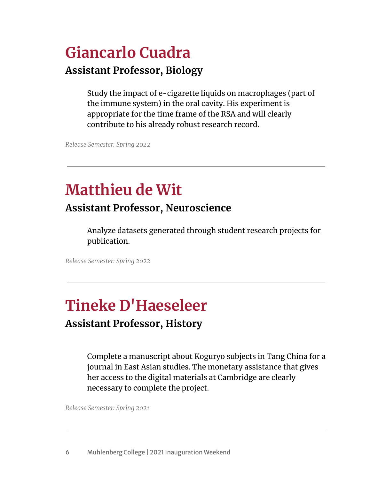# **Giancarlo Cuadra**

#### **Assistant Professor, Biology**

Study the impact of e-cigarette liquids on macrophages (part of the immune system) in the oral cavity. His experiment is appropriate for the time frame of the RSA and will clearly contribute to his already robust research record.

*Release Semester: Spring 2022*

## **Matthieu de Wit**

#### **Assistant Professor, Neuroscience**

Analyze datasets generated through student research projects for publication.

*Release Semester: Spring 2022*

# **Tineke D'Haeseleer**

#### **Assistant Professor, History**

Complete a manuscript about Koguryo subjects in Tang China for a journal in East Asian studies. The monetary assistance that gives her access to the digital materials at Cambridge are clearly necessary to complete the project.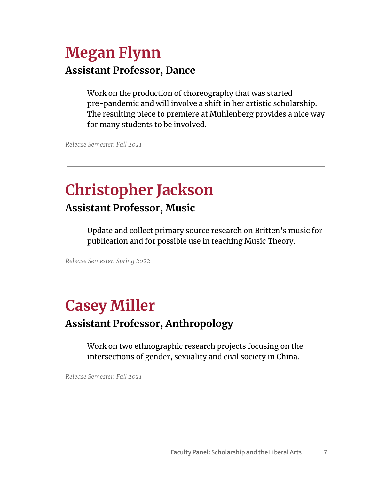### **Megan Flynn Assistant Professor, Dance**

Work on the production of choreography that was started pre-pandemic and will involve a shift in her artistic scholarship. The resulting piece to premiere at Muhlenberg provides a nice way for many students to be involved.

Release Semester: Fall 2021

### **Christopher Jackson Assistant Professor, Music**

Update and collect primary source research on Britten's music for publication and for possible use in teaching Music Theory.

Release Semester: Spring 2022

#### **Casey Miller Assistant Professor, Anthropology**

Work on two ethnographic research projects focusing on the intersections of gender, sexuality and civil society in China.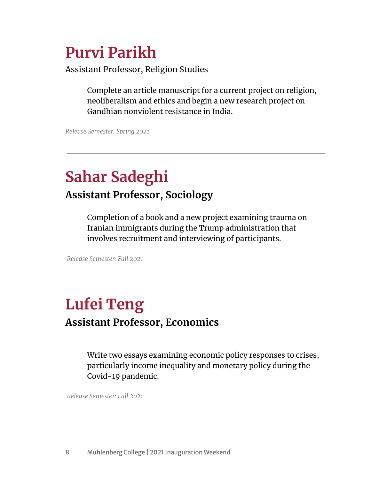### **Purvi Parikh**

Assistant Professor, Religion Studies

Complete an article manuscript for a current project on religion, neoliberalism and ethics and begin a new research project on Gandhian nonviolent resistance in India.

*Release Semester: Spring 2021*

### **Sahar Sadeghi Assistant Professor, Sociology**

Completion of a book and a new project examining trauma on Iranian immigrants during the Trump administration that involves recruitment and interviewing of participants.

*Release Semester: Fall 2021*

### **Lufei Teng Assistant Professor, Economics**

Write two essays examining economic policy responses to crises, particularly income inequality and monetary policy during the Covid-19 pandemic.